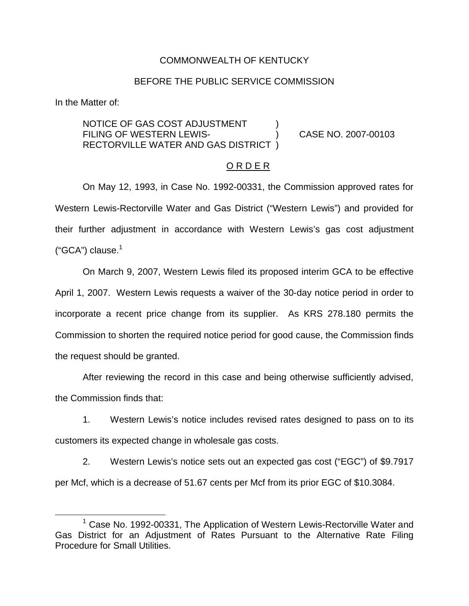## COMMONWEALTH OF KENTUCKY

## BEFORE THE PUBLIC SERVICE COMMISSION

In the Matter of:

NOTICE OF GAS COST ADJUSTMENT FILING OF WESTERN LEWIS- ) CASE NO. 2007-00103 RECTORVILLE WATER AND GAS DISTRICT )

#### O R D E R

On May 12, 1993, in Case No. 1992-00331, the Commission approved rates for Western Lewis-Rectorville Water and Gas District ("Western Lewis") and provided for their further adjustment in accordance with Western Lewis's gas cost adjustment (" $GCA$ ") clause. $1$ 

On March 9, 2007, Western Lewis filed its proposed interim GCA to be effective April 1, 2007. Western Lewis requests a waiver of the 30-day notice period in order to incorporate a recent price change from its supplier. As KRS 278.180 permits the Commission to shorten the required notice period for good cause, the Commission finds the request should be granted.

After reviewing the record in this case and being otherwise sufficiently advised, the Commission finds that:

1. Western Lewis's notice includes revised rates designed to pass on to its customers its expected change in wholesale gas costs.

2. Western Lewis's notice sets out an expected gas cost ("EGC") of \$9.7917 per Mcf, which is a decrease of 51.67 cents per Mcf from its prior EGC of \$10.3084.

<sup>&</sup>lt;sup>1</sup> Case No. 1992-00331, The Application of Western Lewis-Rectorville Water and Gas District for an Adjustment of Rates Pursuant to the Alternative Rate Filing Procedure for Small Utilities.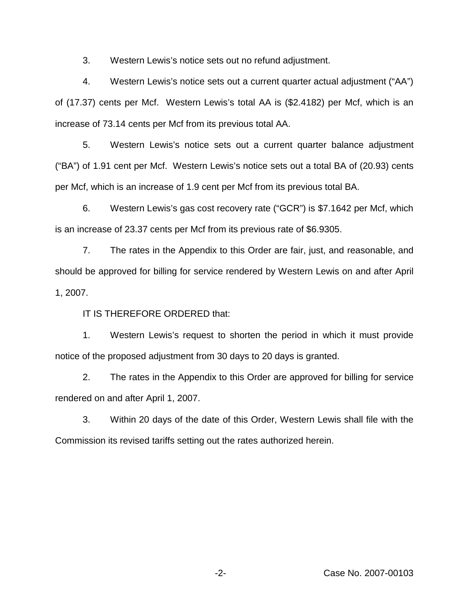3. Western Lewis's notice sets out no refund adjustment.

4. Western Lewis's notice sets out a current quarter actual adjustment ("AA") of (17.37) cents per Mcf. Western Lewis's total AA is (\$2.4182) per Mcf, which is an increase of 73.14 cents per Mcf from its previous total AA.

5. Western Lewis's notice sets out a current quarter balance adjustment ("BA") of 1.91 cent per Mcf. Western Lewis's notice sets out a total BA of (20.93) cents per Mcf, which is an increase of 1.9 cent per Mcf from its previous total BA.

6. Western Lewis's gas cost recovery rate ("GCR") is \$7.1642 per Mcf, which is an increase of 23.37 cents per Mcf from its previous rate of \$6.9305.

7. The rates in the Appendix to this Order are fair, just, and reasonable, and should be approved for billing for service rendered by Western Lewis on and after April 1, 2007.

IT IS THEREFORE ORDERED that:

1. Western Lewis's request to shorten the period in which it must provide notice of the proposed adjustment from 30 days to 20 days is granted.

2. The rates in the Appendix to this Order are approved for billing for service rendered on and after April 1, 2007.

3. Within 20 days of the date of this Order, Western Lewis shall file with the Commission its revised tariffs setting out the rates authorized herein.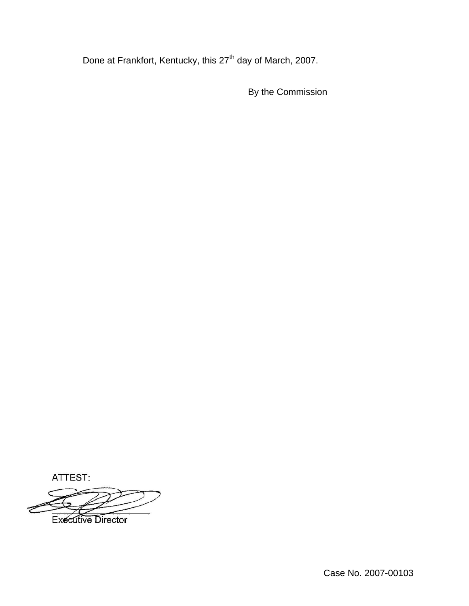Done at Frankfort, Kentucky, this 27<sup>th</sup> day of March, 2007.

By the Commission

ATTEST:

**Executive Director** 

Case No. 2007-00103